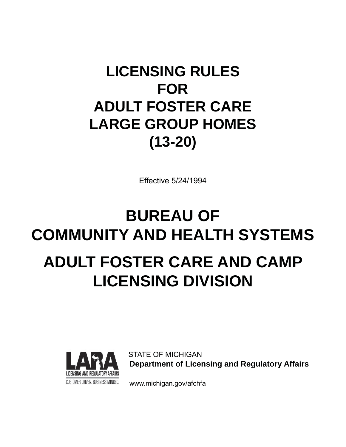## **LICENSING RULES FOR ADULT FOSTER CARE LARGE GROUP HOMES (13-20)**

Effective 5/24/1994

# **BUREAU OF COMMUNITY AND HEALTH SYSTEMS ADULT FOSTER CARE AND CAMP LICENSING DIVISION**



 STATE OF MICHIGAN  **Department of Licensing and Regulatory Affairs** 

CUSTOMER DRIVEN. BUSINESS MINDED. www.michigan.gov/afchfa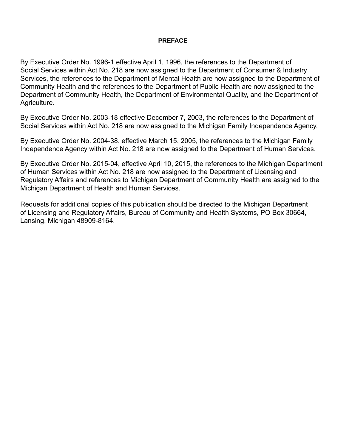#### **PREFACE**

By Executive Order No. 1996-1 effective April 1, 1996, the references to the Department of Social Services within Act No. 218 are now assigned to the Department of Consumer & Industry Services, the references to the Department of Mental Health are now assigned to the Department of Community Health and the references to the Department of Public Health are now assigned to the Department of Community Health, the Department of Environmental Quality, and the Department of Agriculture.

By Executive Order No. 2003-18 effective December 7, 2003, the references to the Department of Social Services within Act No. 218 are now assigned to the Michigan Family Independence Agency.

By Executive Order No. 2004-38, effective March 15, 2005, the references to the Michigan Family Independence Agency within Act No. 218 are now assigned to the Department of Human Services.

By Executive Order No. 2015-04, effective April 10, 2015, the references to the Michigan Department of Human Services within Act No. 218 are now assigned to the Department of Licensing and Regulatory Affairs and references to Michigan Department of Community Health are assigned to the Michigan Department of Health and Human Services.

Requests for additional copies of this publication should be directed to the Michigan Department of Licensing and Regulatory Affairs, Bureau of Community and Health Systems, PO Box 30664, Lansing, Michigan 48909-8164.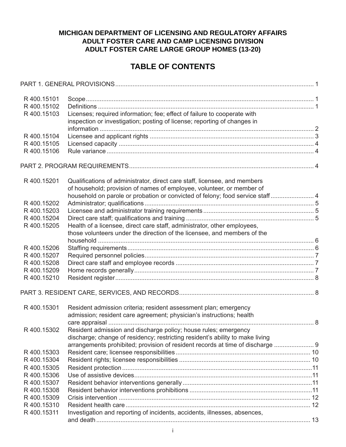## **MICHIGAN DEPARTMENT OF LICENSING AND REGULATORY AFFAIRS ADULT FOSTER CARE AND CAMP LICENSING DIVISION ADULT FOSTER CARE LARGE GROUP HOMES (13-20)**

## **TABLE OF CONTENTS**

| R400.15101  |                                                                                |  |
|-------------|--------------------------------------------------------------------------------|--|
| R 400.15102 |                                                                                |  |
| R400.15103  | Licenses; required information; fee; effect of failure to cooperate with       |  |
|             | inspection or investigation; posting of license; reporting of changes in       |  |
|             |                                                                                |  |
| R400.15104  |                                                                                |  |
| R 400.15105 |                                                                                |  |
| R400.15106  |                                                                                |  |
|             |                                                                                |  |
|             |                                                                                |  |
| R 400.15201 | Qualifications of administrator, direct care staff, licensee, and members      |  |
|             | of household; provision of names of employee, volunteer, or member of          |  |
|             | household on parole or probation or convicted of felony; food service staff 4  |  |
| R 400.15202 |                                                                                |  |
| R 400.15203 |                                                                                |  |
| R 400.15204 |                                                                                |  |
| R 400.15205 | Health of a licensee, direct care staff, administrator, other employees,       |  |
|             | those volunteers under the direction of the licensee, and members of the       |  |
|             |                                                                                |  |
| R400.15206  |                                                                                |  |
| R 400.15207 |                                                                                |  |
| R 400.15208 |                                                                                |  |
| R 400.15209 |                                                                                |  |
| R 400.15210 |                                                                                |  |
|             |                                                                                |  |
| R400.15301  | Resident admission criteria; resident assessment plan; emergency               |  |
|             | admission; resident care agreement; physician's instructions; health           |  |
|             |                                                                                |  |
| R 400.15302 | Resident admission and discharge policy; house rules; emergency                |  |
|             | discharge; change of residency; restricting resident's ability to make living  |  |
|             | arrangements prohibited; provision of resident records at time of discharge  9 |  |
| R400.15303  |                                                                                |  |
| R 400.15304 |                                                                                |  |
|             |                                                                                |  |
| R400.15305  |                                                                                |  |
| R400.15306  |                                                                                |  |
| R400.15307  |                                                                                |  |
| R400.15308  |                                                                                |  |
| R400.15309  |                                                                                |  |
| R400.15310  |                                                                                |  |
| R 400.15311 | Investigation and reporting of incidents, accidents, illnesses, absences,      |  |
|             |                                                                                |  |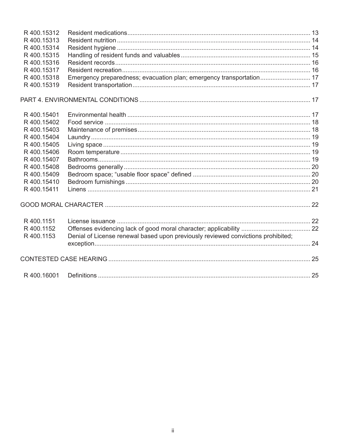| R400.15312  |                                                                                  |  |
|-------------|----------------------------------------------------------------------------------|--|
| R400.15313  |                                                                                  |  |
| R 400.15314 |                                                                                  |  |
| R 400.15315 |                                                                                  |  |
| R400.15316  |                                                                                  |  |
| R 400.15317 |                                                                                  |  |
| R 400.15318 | Emergency preparedness; evacuation plan; emergency transportation 17             |  |
| R 400.15319 |                                                                                  |  |
|             |                                                                                  |  |
| R 400.15401 |                                                                                  |  |
| R400.15402  |                                                                                  |  |
| R400.15403  |                                                                                  |  |
| R400.15404  |                                                                                  |  |
| R 400.15405 |                                                                                  |  |
| R400.15406  |                                                                                  |  |
| R400.15407  |                                                                                  |  |
| R400.15408  |                                                                                  |  |
| R 400.15409 |                                                                                  |  |
| R 400.15410 |                                                                                  |  |
| R 400.15411 |                                                                                  |  |
|             |                                                                                  |  |
| R 400.1151  |                                                                                  |  |
| R 400.1152  |                                                                                  |  |
| R 400.1153  | Denial of License renewal based upon previously reviewed convictions prohibited; |  |
|             |                                                                                  |  |
|             |                                                                                  |  |
| R400.16001  |                                                                                  |  |
|             |                                                                                  |  |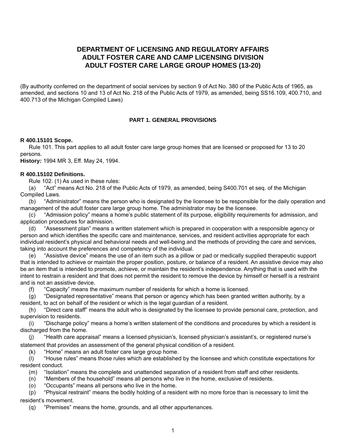## **DEPARTMENT OF LICENSING AND REGULATORY AFFAIRS ADULT FOSTER CARE AND CAMP LICENSING DIVISION ADULT FOSTER CARE LARGE GROUP HOMES (13-20)**

(By authority conferred on the department of social services by section 9 of Act No. 380 of the Public Acts of 1965, as amended, and sections 10 and 13 of Act No. 218 of the Public Acts of 1979, as amended, being SS16.109, 400.710, and 400.713 of the Michigan Compiled Laws)

#### **PART 1. GENERAL PROVISIONS**

#### **R 400.15101 Scope.**

Rule 101. This part applies to all adult foster care large group homes that are licensed or proposed for 13 to 20 persons.

**History:** 1994 MR 3, Eff. May 24, 1994.

#### **R 400.15102 Defi nitions.**

Rule 102. (1) As used in these rules:

(a) "Act" means Act No. 218 of the Public Acts of 1979, as amended, being S400.701 et seq. of the Michigan Compiled Laws.

(b) "Administrator" means the person who is designated by the licensee to be responsible for the daily operation and management of the adult foster care large group home. The administrator may be the licensee.

(c) "Admission policy" means a home's public statement of its purpose, eligibility requirements for admission, and application procedures for admission.

(d) "Assessment plan" means a written statement which is prepared in cooperation with a responsible agency or person and which identifies the specific care and maintenance, services, and resident activities appropriate for each individual resident's physical and behavioral needs and well-being and the methods of providing the care and services, taking into account the preferences and competency of the individual.

(e) "Assistive device" means the use of an item such as a pillow or pad or medically supplied therapeutic support that is intended to achieve or maintain the proper position, posture, or balance of a resident. An assistive device may also be an item that is intended to promote, achieve, or maintain the resident's independence. Anything that is used with the intent to restrain a resident and that does not permit the resident to remove the device by himself or herself is a restraint and is not an assistive device.

(f) "Capacity" means the maximum number of residents for which a home is licensed.

(g) "Designated representative" means that person or agency which has been granted written authority, by a resident, to act on behalf of the resident or which is the legal guardian of a resident.

(h) "Direct care staff" means the adult who is designated by the licensee to provide personal care, protection, and supervision to residents.

(i) "Discharge policy" means a home's written statement of the conditions and procedures by which a resident is discharged from the home.

(j) "Health care appraisal" means a licensed physician's, licensed physician's assistant's, or registered nurse's statement that provides an assessment of the general physical condition of a resident.

(k) "Home" means an adult foster care large group home.

(l) "House rules" means those rules which are established by the licensee and which constitute expectations for resident conduct.

(m) "Isolation" means the complete and unattended separation of a resident from staff and other residents.

(n) "Members of the household" means all persons who live in the home, exclusive of residents.

(o) "Occupants" means all persons who live in the home.

(p) "Physical restraint" means the bodily holding of a resident with no more force than is necessary to limit the resident's movement.

(q) "Premises" means the home, grounds, and all other appurtenances.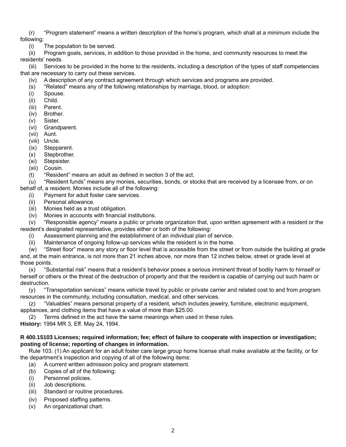(r) "Program statement" means a written description of the home's program, which shall at a minimum include the following:

(i) The population to be served.

(ii) Program goals, services, in addition to those provided in the home, and community resources to meet the residents' needs.

(iii) Services to be provided in the home to the residents, including a description of the types of staff competencies that are necessary to carry out these services.

- (iv) A description of any contract agreement through which services and programs are provided.
- (s) "Related" means any of the following relationships by marriage, blood, or adoption:
- (i) Spouse.
- (ii) Child.
- (iii) Parent.
- (iv) Brother.
- (v) Sister.
- (vi) Grandparent.
- (vii) Aunt.
- (viii) Uncle.
- (ix) Stepparent.
- (x) Stepbrother.
- (xi) Stepsister.
- (xii) Cousin.
- $(t)$  "Resident" means an adult as defined in section 3 of the act.

(u) "Resident funds" means any monies, securities, bonds, or stocks that are received by a licensee from, or on behalf of, a resident. Monies include all of the following:

- (i) Payment for adult foster care services.
- (ii) Personal allowance.
- (iii) Monies held as a trust obligation.
- $(iv)$  Monies in accounts with financial institutions.

(v) "Responsible agency" means a public or private organization that, upon written agreement with a resident or the resident's designated representative, provides either or both of the following:

- (i) Assessment planning and the establishment of an individual plan of service.
- (ii) Maintenance of ongoing follow-up services while the resident is in the home.

(w) "Street floor" means any story or floor level that is accessible from the street or from outside the building at grade and, at the main entrance, is not more than 21 inches above, nor more than 12 inches below, street or grade level at those points.

(x) "Substantial risk" means that a resident's behavior poses a serious imminent threat of bodily harm to himself or herself or others or the threat of the destruction of property and that the resident is capable of carrying out such harm or destruction.

(y) "Transportation services" means vehicle travel by public or private carrier and related cost to and from program resources in the community, including consultation, medical, and other services.

(z) "Valuables" means personal property of a resident, which includes jewelry, furniture, electronic equipment, appliances, and clothing items that have a value of more than \$25.00.

Terms defined in the act have the same meanings when used in these rules.

**History:** 1994 MR 3, Eff. May 24, 1994.

#### **R 400.15103 Licenses; required information; fee; effect of failure to cooperate with inspection or investigation; posting of license; reporting of changes in information.**

Rule 103. (1) An applicant for an adult foster care large group home license shall make available at the facility, or for the department's inspection and copying of all of the following items:

- (a) A current written admission policy and program statement.
- (b) Copies of all of the following:
- (i) Personnel policies.
- (ii) Job descriptions.
- (iii) Standard or routine procedures.
- (iv) Proposed staffing patterns.
- (v) An organizational chart.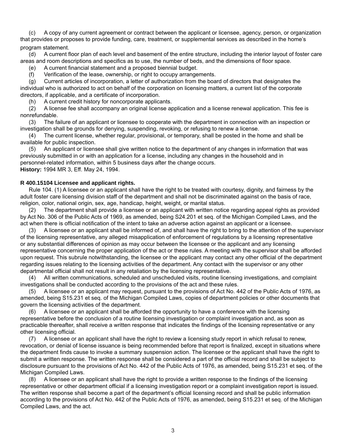(c) A copy of any current agreement or contract between the applicant or licensee, agency, person, or organization that provides or proposes to provide funding, care, treatment, or supplemental services as described in the home's program statement.

(d) A current floor plan of each level and basement of the entire structure, including the interior layout of foster care areas and room descriptions and specifics as to use, the number of beds, and the dimensions of floor space.

(e) A current financial statement and a proposed biennial budget.

(f) Verification of the lease, ownership, or right to occupy arrangements.

(g) Current articles of incorporation, a letter of authorization from the board of directors that designates the individual who is authorized to act on behalf of the corporation on licensing matters, a current list of the corporate directors, if applicable, and a certificate of incorporation.

(h) A current credit history for noncorporate applicants.

(2) A license fee shall accompany an original license application and a license renewal application. This fee is nonrefundable.

(3) The failure of an applicant or licensee to cooperate with the department in connection with an inspection or investigation shall be grounds for denying, suspending, revoking, or refusing to renew a license.

(4) The current license, whether regular, provisional, or temporary, shall be posted in the home and shall be available for public inspection.

(5) An applicant or licensee shall give written notice to the department of any changes in information that was previously submitted in or with an application for a license, including any changes in the household and in personnel-related information, within 5 business days after the change occurs. **History:** 1994 MR 3, Eff. May 24, 1994.

#### **R 400.15104 Licensee and applicant rights.**

Rule 104. (1) A licensee or an applicant shall have the right to be treated with courtesy, dignity, and fairness by the adult foster care licensing division staff of the department and shall not be discriminated against on the basis of race, religion, color, national origin, sex, age, handicap, height, weight, or marital status.

(2) The department shall provide a licensee or an applicant with written notice regarding appeal rights as provided by Act No. 306 of the Public Acts of 1969, as amended, being S24.201 et seq. of the Michigan Compiled Laws, and the act when there is official notification of the intent to take an adverse action against an applicant or a licensee.

(3) A licensee or an applicant shall be informed of, and shall have the right to bring to the attention of the supervisor of the licensing representative, any alleged misapplication of enforcement of regulations by a licensing representative or any substantial differences of opinion as may occur between the licensee or the applicant and any licensing representative concerning the proper application of the act or these rules. A meeting with the supervisor shall be afforded upon request. This subrule notwithstanding, the licensee or the applicant may contact any other official of the department regarding issues relating to the licensing activities of the department. Any contact with the supervisor or any other departmental official shall not result in any retaliation by the licensing representative.

(4) All written communications, scheduled and unscheduled visits, routine licensing investigations, and complaint investigations shall be conducted according to the provisions of the act and these rules.

(5) A licensee or an applicant may request, pursuant to the provisions of Act No. 442 of the Public Acts of 1976, as amended, being S15.231 et seq. of the Michigan Compiled Laws, copies of department policies or other documents that govern the licensing activities of the department.

(6) A licensee or an applicant shall be afforded the opportunity to have a conference with the licensing representative before the conclusion of a routine licensing investigation or complaint investigation and, as soon as practicable thereafter, shall receive a written response that indicates the findings of the licensing representative or any other licensing official.

(7) A licensee or an applicant shall have the right to review a licensing study report in which refusal to renew, revocation, or denial of license issuance is being recommended before that report is finalized, except in situations where the department finds cause to invoke a summary suspension action. The licensee or the applicant shall have the right to submit a written response. The written response shall be considered a part of the official record and shall be subject to disclosure pursuant to the provisions of Act No. 442 of the Public Acts of 1976, as amended, being S15.231 et seq. of the Michigan Compiled Laws.

(8) A licensee or an applicant shall have the right to provide a written response to the findings of the licensing representative or other department official if a licensing investigation report or a complaint investigation report is issued. The written response shall become a part of the department's official licensing record and shall be public information according to the provisions of Act No. 442 of the Public Acts of 1976, as amended, being S15.231 et seq. of the Michigan Compiled Laws, and the act.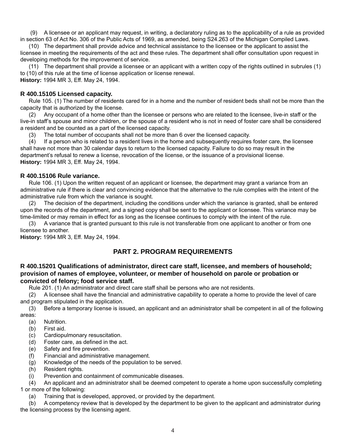(9) A licensee or an applicant may request, in writing, a declaratory ruling as to the applicability of a rule as provided in section 63 of Act No. 306 of the Public Acts of 1969, as amended, being S24.263 of the Michigan Compiled Laws.

(10) The department shall provide advice and technical assistance to the licensee or the applicant to assist the licensee in meeting the requirements of the act and these rules. The department shall offer consultation upon request in developing methods for the improvement of service.

(11) The department shall provide a licensee or an applicant with a written copy of the rights outlined in subrules (1) to (10) of this rule at the time of license application or license renewal.

**History:** 1994 MR 3, Eff. May 24, 1994.

#### **R 400.15105 Licensed capacity.**

Rule 105. (1) The number of residents cared for in a home and the number of resident beds shall not be more than the capacity that is authorized by the license.

(2) Any occupant of a home other than the licensee or persons who are related to the licensee, live-in staff or the live-in staff's spouse and minor children, or the spouse of a resident who is not in need of foster care shall be considered a resident and be counted as a part of the licensed capacity.

(3) The total number of occupants shall not be more than 6 over the licensed capacity.

(4) If a person who is related to a resident lives in the home and subsequently requires foster care, the licensee shall have not more than 30 calendar days to return to the licensed capacity. Failure to do so may result in the department's refusal to renew a license, revocation of the license, or the issuance of a provisional license. **History:** 1994 MR 3, Eff. May 24, 1994.

#### **R 400.15106 Rule variance.**

Rule 106. (1) Upon the written request of an applicant or licensee, the department may grant a variance from an administrative rule if there is clear and convincing evidence that the alternative to the rule complies with the intent of the administrative rule from which the variance is sought.

(2) The decision of the department, including the conditions under which the variance is granted, shall be entered upon the records of the department, and a signed copy shall be sent to the applicant or licensee. This variance may be time-limited or may remain in effect for as long as the licensee continues to comply with the intent of the rule.

(3) A variance that is granted pursuant to this rule is not transferable from one applicant to another or from one licensee to another.

**History:** 1994 MR 3, Eff. May 24, 1994.

## **PART 2. PROGRAM REQUIREMENTS**

#### **R 400.15201 Qualifi cations of administrator, direct care staff, licensee, and members of household; provision of names of employee, volunteer, or member of household on parole or probation or convicted of felony; food service staff.**

Rule 201. (1) An administrator and direct care staff shall be persons who are not residents.

(2) A licensee shall have the financial and administrative capability to operate a home to provide the level of care and program stipulated in the application.

(3) Before a temporary license is issued, an applicant and an administrator shall be competent in all of the following areas:

- (a) Nutrition.
- (b) First aid.
- (c) Cardiopulmonary resuscitation.
- $(d)$  Foster care, as defined in the act.
- (e) Safety and fire prevention.
- (f) Financial and administrative management.
- (g) Knowledge of the needs of the population to be served.
- (h) Resident rights.
- (i) Prevention and containment of communicable diseases.

(4) An applicant and an administrator shall be deemed competent to operate a home upon successfully completing 1 or more of the following:

(a) Training that is developed, approved, or provided by the department.

(b) A competency review that is developed by the department to be given to the applicant and administrator during the licensing process by the licensing agent.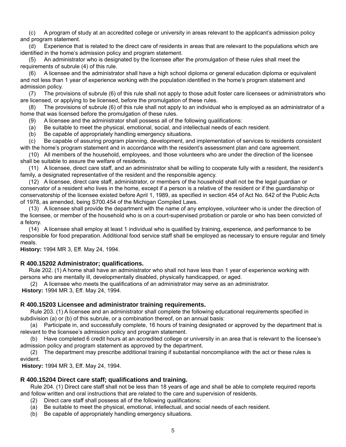(c) A program of study at an accredited college or university in areas relevant to the applicant's admission policy and program statement.

(d) Experience that is related to the direct care of residents in areas that are relevant to the populations which are identified in the home's admission policy and program statement.

(5) An administrator who is designated by the licensee after the promulgation of these rules shall meet the requirements of subrule (4) of this rule.

(6) A licensee and the administrator shall have a high school diploma or general education diploma or equivalent and not less than 1 year of experience working with the population identified in the home's program statement and admission policy.

(7) The provisions of subrule (6) of this rule shall not apply to those adult foster care licensees or administrators who are licensed, or applying to be licensed, before the promulgation of these rules.

(8) The provisions of subrule (6) of this rule shall not apply to an individual who is employed as an administrator of a home that was licensed before the promulgation of these rules.

(9) A licensee and the administrator shall possess all of the following qualifications:

(a) Be suitable to meet the physical, emotional, social, and intellectual needs of each resident.

(b) Be capable of appropriately handling emergency situations.

(c) Be capable of assuring program planning, development, and implementation of services to residents consistent with the home's program statement and in accordance with the resident's assessment plan and care agreement.

(10) All members of the household, employees, and those volunteers who are under the direction of the licensee shall be suitable to assure the welfare of residents.

(11) A licensee, direct care staff, and an administrator shall be willing to cooperate fully with a resident, the resident's family, a designated representative of the resident and the responsible agency.

(12) A licensee, direct care staff, administrator, or members of the household shall not be the legal guardian or conservator of a resident who lives in the home, except if a person is a relative of the resident or if the guardianship or conservatorship of the licensee existed before April 1, 1989, as specified in section 454 of Act No. 642 of the Public Acts of 1978, as amended, being S700.454 of the Michigan Compiled Laws.

(13) A licensee shall provide the department with the name of any employee, volunteer who is under the direction of the licensee, or member of the household who is on a court-supervised probation or parole or who has been convicted of a felony.

(14) A licensee shall employ at least 1 individual who is qualified by training, experience, and performance to be responsible for food preparation. Additional food service staff shall be employed as necessary to ensure regular and timely meals.

**History:** 1994 MR 3, Eff. May 24, 1994.

#### **R 400.15202 Administrator; qualifi cations.**

Rule 202. (1) A home shall have an administrator who shall not have less than 1 year of experience working with persons who are mentally ill, developmentally disabled, physically handicapped, or aged.

(2) A licensee who meets the qualifications of an administrator may serve as an administrator. **History:** 1994 MR 3, Eff. May 24, 1994.

#### **R 400.15203 Licensee and administrator training requirements.**

Rule 203. (1) A licensee and an administrator shall complete the following educational requirements specified in subdivision (a) or (b) of this subrule, or a combination thereof, on an annual basis:

 (a) Participate in, and successfully complete, 16 hours of training designated or approved by the department that is relevant to the licensee's admission policy and program statement.

 (b) Have completed 6 credit hours at an accredited college or university in an area that is relevant to the licensee's admission policy and program statement as approved by the department.

 (2) The department may prescribe additional training if substantial noncompliance with the act or these rules is evident.

 **History:** 1994 MR 3, Eff. May 24, 1994.

#### **R 400.15204 Direct care staff; qualifi cations and training.**

 Rule 204. (1) Direct care staff shall not be less than 18 years of age and shall be able to complete required reports and follow written and oral instructions that are related to the care and supervision of residents.

- $(2)$  Direct care staff shall possess all of the following qualifications:
- (a) Be suitable to meet the physical, emotional, intellectual, and social needs of each resident.
- (b) Be capable of appropriately handling emergency situations.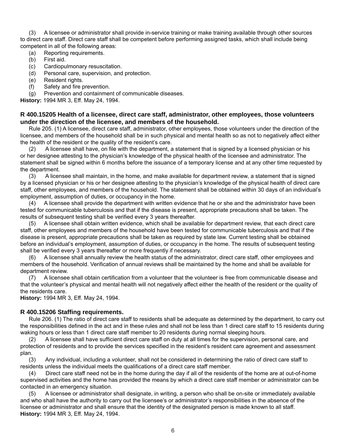(3) A licensee or administrator shall provide in-service training or make training available through other sources to direct care staff. Direct care staff shall be competent before performing assigned tasks, which shall include being competent in all of the following areas:

- (a) Reporting requirements.
- (b) First aid.
- (c) Cardiopulmonary resuscitation.
- (d) Personal care, supervision, and protection.
- (e) Resident rights.
- $(f)$  Safety and fire prevention.
- (g) Prevention and containment of communicable diseases.

**History:** 1994 MR 3, Eff. May 24, 1994.

#### **R 400.15205 Health of a licensee, direct care staff, administrator, other employees, those volunteers under the direction of the licensee, and members of the household.**

Rule 205. (1) A licensee, direct care staff, administrator, other employees, those volunteers under the direction of the licensee, and members of the household shall be in such physical and mental health so as not to negatively affect either the health of the resident or the quality of the resident's care.

(2) A licensee shall have, on file with the department, a statement that is signed by a licensed physician or his or her designee attesting to the physician's knowledge of the physical health of the licensee and administrator. The statement shall be signed within 6 months before the issuance of a temporary license and at any other time requested by the department.

(3) A licensee shall maintain, in the home, and make available for department review, a statement that is signed by a licensed physician or his or her designee attesting to the physician's knowledge of the physical health of direct care staff, other employees, and members of the household. The statement shall be obtained within 30 days of an individual's employment, assumption of duties, or occupancy in the home.

(4) A licensee shall provide the department with written evidence that he or she and the administrator have been tested for communicable tuberculosis and that if the disease is present, appropriate precautions shall be taken. The results of subsequent testing shall be verified every 3 years thereafter.

(5) A licensee shall obtain written evidence, which shall be available for department review, that each direct care staff, other employees and members of the household have been tested for communicable tuberculosis and that if the disease is present, appropriate precautions shall be taken as required by state law. Current testing shall be obtained before an individual's employment, assumption of duties, or occupancy in the home. The results of subsequent testing shall be verified every 3 years thereafter or more frequently if necessary.

(6) A licensee shall annually review the health status of the administrator, direct care staff, other employees and members of the household. Verification of annual reviews shall be maintained by the home and shall be available for department review.

(7) A licensee shall obtain certification from a volunteer that the volunteer is free from communicable disease and that the volunteer's physical and mental health will not negatively affect either the health of the resident or the quality of the residents care.

**History:** 1994 MR 3, Eff. May 24, 1994.

#### **R 400.15206 Staffi ng requirements.**

Rule 206. (1) The ratio of direct care staff to residents shall be adequate as determined by the department, to carry out the responsibilities defined in the act and in these rules and shall not be less than 1 direct care staff to 15 residents during waking hours or less than 1 direct care staff member to 20 residents during normal sleeping hours.

(2) A licensee shall have sufficient direct care staff on duty at all times for the supervision, personal care, and protection of residents and to provide the services specified in the resident's resident care agreement and assessment plan.

(3) Any individual, including a volunteer, shall not be considered in determining the ratio of direct care staff to residents unless the individual meets the qualifications of a direct care staff member.

(4) Direct care staff need not be in the home during the day if all of the residents of the home are at out-of-home supervised activities and the home has provided the means by which a direct care staff member or administrator can be contacted in an emergency situation.

(5) A licensee or administrator shall designate, in writing, a person who shall be on-site or immediately available and who shall have the authority to carry out the licensee's or administrator's responsibilities in the absence of the licensee or administrator and shall ensure that the identity of the designated person is made known to all staff. **History:** 1994 MR 3, Eff. May 24, 1994.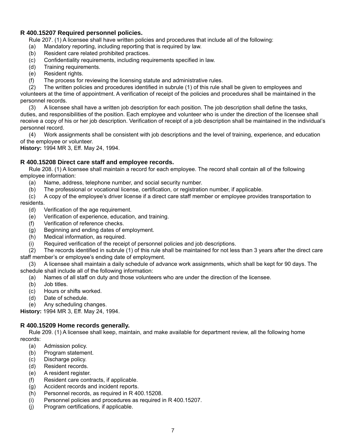#### **R 400.15207 Required personnel policies.**

Rule 207. (1) A licensee shall have written policies and procedures that include all of the following:

- (a) Mandatory reporting, including reporting that is required by law.
- (b) Resident care related prohibited practices.
- (c) Confidentiality requirements, including requirements specified in law.
- (d) Training requirements.
- (e) Resident rights.
- (f) The process for reviewing the licensing statute and administrative rules.

(2) The written policies and procedures identified in subrule (1) of this rule shall be given to employees and volunteers at the time of appointment. A verification of receipt of the policies and procedures shall be maintained in the personnel records.

(3) A licensee shall have a written job description for each position. The job description shall define the tasks, duties, and responsibilities of the position. Each employee and volunteer who is under the direction of the licensee shall receive a copy of his or her job description. Verification of receipt of a job description shall be maintained in the individual's personnel record.

(4) Work assignments shall be consistent with job descriptions and the level of training, experience, and education of the employee or volunteer.

**History:** 1994 MR 3, Eff. May 24, 1994.

#### **R 400.15208 Direct care staff and employee records.**

Rule 208. (1) A licensee shall maintain a record for each employee. The record shall contain all of the following employee information:

- (a) Name, address, telephone number, and social security number.
- (b) The professional or vocational license, certification, or registration number, if applicable.

(c) A copy of the employee's driver license if a direct care staff member or employee provides transportation to residents.

- (d) Verification of the age requirement.
- (e) Verification of experience, education, and training.
- (f) Verification of reference checks.
- (g) Beginning and ending dates of employment.
- (h) Medical information, as required.
- (i) Required verification of the receipt of personnel policies and job descriptions.

(2) The records identified in subrule (1) of this rule shall be maintained for not less than 3 years after the direct care staff member's or employee's ending date of employment.

(3) A licensee shall maintain a daily schedule of advance work assignments, which shall be kept for 90 days. The schedule shall include all of the following information:

(a) Names of all staff on duty and those volunteers who are under the direction of the licensee.

- (b) Job titles.
- (c) Hours or shifts worked.
- (d) Date of schedule.
- (e) Any scheduling changes.

**History:** 1994 MR 3, Eff. May 24, 1994.

#### **R 400.15209 Home records generally.**

Rule 209. (1) A licensee shall keep, maintain, and make available for department review, all the following home records:

- (a) Admission policy.
- (b) Program statement.
- (c) Discharge policy.
- (d) Resident records.
- (e) A resident register.
- (f) Resident care contracts, if applicable.
- (g) Accident records and incident reports.
- (h) Personnel records, as required in R 400.15208.
- (i) Personnel policies and procedures as required in R 400.15207.
- $(i)$  Program certifications, if applicable.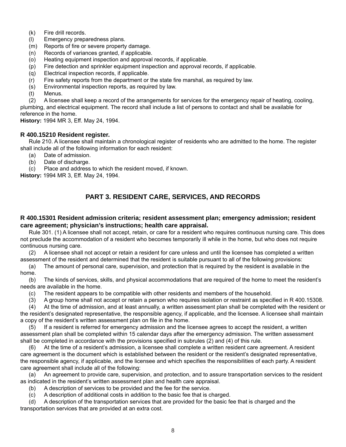- (k) Fire drill records.
- (l) Emergency preparedness plans.
- (m) Reports of fire or severe property damage.
- (n) Records of variances granted, if applicable.
- (o) Heating equipment inspection and approval records, if applicable.
- (p) Fire detection and sprinkler equipment inspection and approval records, if applicable.
- (q) Electrical inspection records, if applicable.
- $(r)$  Fire safety reports from the department or the state fire marshal, as required by law.
- (s) Environmental inspection reports, as required by law.
- (t) Menus.

(2) A licensee shall keep a record of the arrangements for services for the emergency repair of heating, cooling, plumbing, and electrical equipment. The record shall include a list of persons to contact and shall be available for reference in the home.

**History:** 1994 MR 3, Eff. May 24, 1994.

#### **R 400.15210 Resident register.**

Rule 210. A licensee shall maintain a chronological register of residents who are admitted to the home. The register shall include all of the following information for each resident:

- (a) Date of admission.
- (b) Date of discharge.
- (c) Place and address to which the resident moved, if known.

**History:** 1994 MR 3, Eff. May 24, 1994.

## **PART 3. RESIDENT CARE, SERVICES, AND RECORDS**

#### **R 400.15301 Resident admission criteria; resident assessment plan; emergency admission; resident care agreement; physician's instructions; health care appraisal.**

Rule 301. (1) A licensee shall not accept, retain, or care for a resident who requires continuous nursing care. This does not preclude the accommodation of a resident who becomes temporarily ill while in the home, but who does not require continuous nursing care.

(2) A licensee shall not accept or retain a resident for care unless and until the licensee has completed a written assessment of the resident and determined that the resident is suitable pursuant to all of the following provisions:

(a) The amount of personal care, supervision, and protection that is required by the resident is available in the home.

(b) The kinds of services, skills, and physical accommodations that are required of the home to meet the resident's needs are available in the home.

(c) The resident appears to be compatible with other residents and members of the household.

 $(3)$  A group home shall not accept or retain a person who requires isolation or restraint as specified in R 400.15308.

(4) At the time of admission, and at least annually, a written assessment plan shall be completed with the resident or the resident's designated representative, the responsible agency, if applicable, and the licensee. A licensee shall maintain a copy of the resident's written assessment plan on file in the home.

(5) If a resident is referred for emergency admission and the licensee agrees to accept the resident, a written assessment plan shall be completed within 15 calendar days after the emergency admission. The written assessment shall be completed in accordance with the provisions specified in subrules  $(2)$  and  $(4)$  of this rule.

(6) At the time of a resident's admission, a licensee shall complete a written resident care agreement. A resident care agreement is the document which is established between the resident or the resident's designated representative, the responsible agency, if applicable, and the licensee and which specifies the responsibilities of each party. A resident care agreement shall include all of the following:

(a) An agreement to provide care, supervision, and protection, and to assure transportation services to the resident as indicated in the resident's written assessment plan and health care appraisal.

- (b) A description of services to be provided and the fee for the service.
- (c) A description of additional costs in addition to the basic fee that is charged.

(d) A description of the transportation services that are provided for the basic fee that is charged and the transportation services that are provided at an extra cost.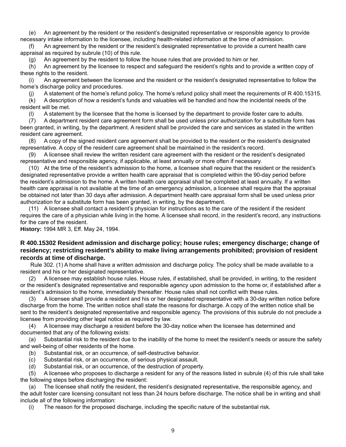(e) An agreement by the resident or the resident's designated representative or responsible agency to provide necessary intake information to the licensee, including health-related information at the time of admission.

(f) An agreement by the resident or the resident's designated representative to provide a current health care appraisal as required by subrule (10) of this rule.

(g) An agreement by the resident to follow the house rules that are provided to him or her.

(h) An agreement by the licensee to respect and safeguard the resident's rights and to provide a written copy of these rights to the resident.

(i) An agreement between the licensee and the resident or the resident's designated representative to follow the home's discharge policy and procedures.

(j) A statement of the home's refund policy. The home's refund policy shall meet the requirements of R 400.15315.

(k) A description of how a resident's funds and valuables will be handled and how the incidental needs of the resident will be met.

(l) A statement by the licensee that the home is licensed by the department to provide foster care to adults.

(7) A department resident care agreement form shall be used unless prior authorization for a substitute form has been granted, in writing, by the department. A resident shall be provided the care and services as stated in the written resident care agreement.

(8) A copy of the signed resident care agreement shall be provided to the resident or the resident's designated representative. A copy of the resident care agreement shall be maintained in the resident's record.

(9) A licensee shall review the written resident care agreement with the resident or the resident's designated representative and responsible agency, if applicable, at least annually or more often if necessary.

(10) At the time of the resident's admission to the home, a licensee shall require that the resident or the resident's designated representative provide a written health care appraisal that is completed within the 90-day period before the resident's admission to the home. A written health care appraisal shall be completed at least annually. If a written health care appraisal is not available at the time of an emergency admission, a licensee shall require that the appraisal be obtained not later than 30 days after admission. A department health care appraisal form shall be used unless prior authorization for a substitute form has been granted, in writing, by the department.

(11) A licensee shall contact a resident's physician for instructions as to the care of the resident if the resident requires the care of a physician while living in the home. A licensee shall record, in the resident's record, any instructions for the care of the resident.

**History:** 1994 MR 3, Eff. May 24, 1994.

#### **R 400.15302 Resident admission and discharge policy; house rules; emergency discharge; change of residency; restricting resident's ability to make living arrangements prohibited; provision of resident records at time of discharge.**

 Rule 302. (1) A home shall have a written admission and discharge policy. The policy shall be made available to a resident and his or her designated representative.

(2) A licensee may establish house rules. House rules, if established, shall be provided, in writing, to the resident or the resident's designated representative and responsible agency upon admission to the home or, if established after a resident's admission to the home, immediately thereafter. House rules shall not conflict with these rules.

(3) A licensee shall provide a resident and his or her designated representative with a 30-day written notice before discharge from the home. The written notice shall state the reasons for discharge. A copy of the written notice shall be sent to the resident's designated representative and responsible agency. The provisions of this subrule do not preclude a licensee from providing other legal notice as required by law.

(4) A licensee may discharge a resident before the 30-day notice when the licensee has determined and documented that any of the following exists:

(a) Substantial risk to the resident due to the inability of the home to meet the resident's needs or assure the safety and well-being of other residents of the home.

- (b) Substantial risk, or an occurrence, of self-destructive behavior.
- (c) Substantial risk, or an occurrence, of serious physical assault.
- (d) Substantial risk, or an occurrence, of the destruction of property.

(5) A licensee who proposes to discharge a resident for any of the reasons listed in subrule (4) of this rule shall take the following steps before discharging the resident:

(a) The licensee shall notify the resident, the resident's designated representative, the responsible agency, and the adult foster care licensing consultant not less than 24 hours before discharge. The notice shall be in writing and shall include all of the following information:

(i) The reason for the proposed discharge, including the specific nature of the substantial risk.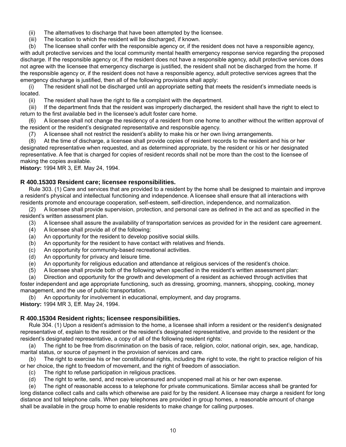- (ii) The alternatives to discharge that have been attempted by the licensee.
- (iii) The location to which the resident will be discharged, if known.

(b) The licensee shall confer with the responsible agency or, if the resident does not have a responsible agency, with adult protective services and the local community mental health emergency response service regarding the proposed discharge. If the responsible agency or, if the resident does not have a responsible agency, adult protective services does not agree with the licensee that emergency discharge is justified, the resident shall not be discharged from the home. If the responsible agency or, if the resident does not have a responsible agency, adult protective services agrees that the emergency discharge is justified, then all of the following provisions shall apply:

(i) The resident shall not be discharged until an appropriate setting that meets the resident's immediate needs is located.

(ii) The resident shall have the right to file a complaint with the department.

(iii) If the department finds that the resident was improperly discharged, the resident shall have the right to elect to return to the first available bed in the licensee's adult foster care home.

(6) A licensee shall not change the residency of a resident from one home to another without the written approval of the resident or the resident's designated representative and responsible agency.

(7) A licensee shall not restrict the resident's ability to make his or her own living arrangements.

(8) At the time of discharge, a licensee shall provide copies of resident records to the resident and his or her designated representative when requested, and as determined appropriate, by the resident or his or her designated representative. A fee that is charged for copies of resident records shall not be more than the cost to the licensee of making the copies available.

**History:** 1994 MR 3, Eff. May 24, 1994.

#### **R 400.15303 Resident care; licensee responsibilities.**

Rule 303. (1) Care and services that are provided to a resident by the home shall be designed to maintain and improve a resident's physical and intellectual functioning and independence. A licensee shall ensure that all interactions with residents promote and encourage cooperation, self-esteem, self-direction, independence, and normalization.

(2) A licensee shall provide supervision, protection, and personal care as defined in the act and as specified in the resident's written assessment plan.

- (3) A licensee shall assure the availability of transportation services as provided for in the resident care agreement.
- (4) A licensee shall provide all of the following:
- (a) An opportunity for the resident to develop positive social skills.
- (b) An opportunity for the resident to have contact with relatives and friends.
- (c) An opportunity for community-based recreational activities.
- (d) An opportunity for privacy and leisure time.
- (e) An opportunity for religious education and attendance at religious services of the resident's choice.
- (5) A licensee shall provide both of the following when specified in the resident's written assessment plan:
- (a) Direction and opportunity for the growth and development of a resident as achieved through activities that

foster independent and age appropriate functioning, such as dressing, grooming, manners, shopping, cooking, money management, and the use of public transportation.

(b) An opportunity for involvement in educational, employment, and day programs.

**History:** 1994 MR 3, Eff. May 24, 1994.

#### **R 400.15304 Resident rights; licensee responsibilities.**

Rule 304. (1) Upon a resident's admission to the home, a licensee shall inform a resident or the resident's designated representative of, explain to the resident or the resident's designated representative, and provide to the resident or the resident's designated representative, a copy of all of the following resident rights:

(a) The right to be free from discrimination on the basis of race, religion, color, national origin, sex, age, handicap, marital status, or source of payment in the provision of services and care.

(b) The right to exercise his or her constitutional rights, including the right to vote, the right to practice religion of his or her choice, the right to freedom of movement, and the right of freedom of association.

- (c) The right to refuse participation in religious practices.
- (d) The right to write, send, and receive uncensured and unopened mail at his or her own expense.

(e) The right of reasonable access to a telephone for private communications. Similar access shall be granted for long distance collect calls and calls which otherwise are paid for by the resident. A licensee may charge a resident for long distance and toll telephone calls. When pay telephones are provided in group homes, a reasonable amount of change shall be available in the group home to enable residents to make change for calling purposes.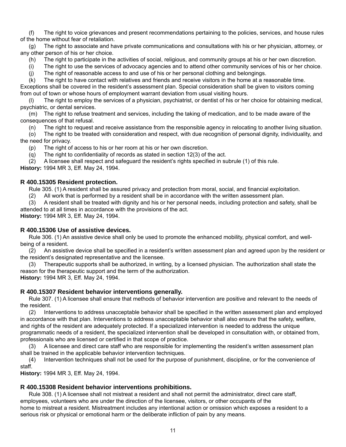(f) The right to voice grievances and present recommendations pertaining to the policies, services, and house rules of the home without fear of retaliation.

(g) The right to associate and have private communications and consultations with his or her physician, attorney, or any other person of his or her choice.

(h) The right to participate in the activities of social, religious, and community groups at his or her own discretion.

(i) The right to use the services of advocacy agencies and to attend other community services of his or her choice.

(j) The right of reasonable access to and use of his or her personal clothing and belongings.

(k) The right to have contact with relatives and friends and receive visitors in the home at a reasonable time. Exceptions shall be covered in the resident's assessment plan. Special consideration shall be given to visitors coming from out of town or whose hours of employment warrant deviation from usual visiting hours.

(l) The right to employ the services of a physician, psychiatrist, or dentist of his or her choice for obtaining medical, psychiatric, or dental services.

(m) The right to refuse treatment and services, including the taking of medication, and to be made aware of the consequences of that refusal.

(n) The right to request and receive assistance from the responsible agency in relocating to another living situation.

(o) The right to be treated with consideration and respect, with due recognition of personal dignity, individuality, and the need for privacy.

(p) The right of access to his or her room at his or her own discretion.

(q) The right to confidentiality of records as stated in section  $12(3)$  of the act.

 $(2)$  A licensee shall respect and safeguard the resident's rights specified in subrule  $(1)$  of this rule.

**History:** 1994 MR 3, Eff. May 24, 1994.

#### **R 400.15305 Resident protection.**

Rule 305. (1) A resident shall be assured privacy and protection from moral, social, and financial exploitation.

(2) All work that is performed by a resident shall be in accordance with the written assessment plan.

(3) A resident shall be treated with dignity and his or her personal needs, including protection and safety, shall be attended to at all times in accordance with the provisions of the act.

**History:** 1994 MR 3, Eff. May 24, 1994.

#### **R 400.15306 Use of assistive devices.**

Rule 306. (1) An assistive device shall only be used to promote the enhanced mobility, physical comfort, and wellbeing of a resident.

(2) An assistive device shall be specified in a resident's written assessment plan and agreed upon by the resident or the resident's designated representative and the licensee.

(3) Therapeutic supports shall be authorized, in writing, by a licensed physician. The authorization shall state the reason for the therapeutic support and the term of the authorization.

**History:** 1994 MR 3, Eff. May 24, 1994.

#### **R 400.15307 Resident behavior interventions generally.**

Rule 307. (1) A licensee shall ensure that methods of behavior intervention are positive and relevant to the needs of the resident.

(2) Interventions to address unacceptable behavior shall be specified in the written assessment plan and employed in accordance with that plan. Interventions to address unacceptable behavior shall also ensure that the safety, welfare, and rights of the resident are adequately protected. If a specialized intervention is needed to address the unique programmatic needs of a resident, the specialized intervention shall be developed in consultation with, or obtained from, professionals who are licensed or certified in that scope of practice.

(3) A licensee and direct care staff who are responsible for implementing the resident's written assessment plan shall be trained in the applicable behavior intervention techniques.

(4) Intervention techniques shall not be used for the purpose of punishment, discipline, or for the convenience of staff.

**History:** 1994 MR 3, Eff. May 24, 1994.

## **R 400.15308 Resident behavior interventions prohibitions.**

Rule 308. (1) A licensee shall not mistreat a resident and shall not permit the administrator, direct care staff, employees, volunteers who are under the direction of the licensee, visitors, or other occupants of the home to mistreat a resident. Mistreatment includes any intentional action or omission which exposes a resident to a serious risk or physical or emotional harm or the deliberate infliction of pain by any means.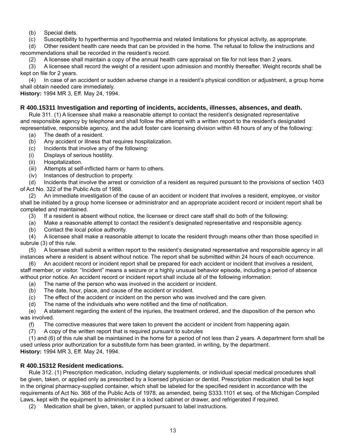(b) Special diets.

(c) Susceptibility to hyperthermia and hypothermia and related limitations for physical activity, as appropriate.

(d) Other resident health care needs that can be provided in the home. The refusal to follow the instructions and recommendations shall be recorded in the resident's record.

(2) A licensee shall maintain a copy of the annual health care appraisal on file for not less than 2 years.

(3) A licensee shall record the weight of a resident upon admission and monthly thereafter. Weight records shall be kept on file for 2 years.

(4) In case of an accident or sudden adverse change in a resident's physical condition or adjustment, a group home shall obtain needed care immediately.

**History:** 1994 MR 3, Eff. May 24, 1994.

#### **R 400.15311 Investigation and reporting of incidents, accidents, illnesses, absences, and death.**

Rule 311. (1) A licensee shall make a reasonable attempt to contact the resident's designated representative and responsible agency by telephone and shall follow the attempt with a written report to the resident's designated representative, responsible agency, and the adult foster care licensing division within 48 hours of any of the following:

- (a) The death of a resident.
- (b) Any accident or illness that requires hospitalization.
- (c) Incidents that involve any of the following:
- (i) Displays of serious hostility.
- (ii) Hospitalization.
- (iii) Attempts at self-inflicted harm or harm to others.
- (iv) Instances of destruction to property.

(d) Incidents that involve the arrest or conviction of a resident as required pursuant to the provisions of section 1403 of Act No. 322 of the Public Acts of 1988.

(2) An immediate investigation of the cause of an accident or incident that involves a resident, employee, or visitor shall be initiated by a group home licensee or administrator and an appropriate accident record or incident report shall be completed and maintained.

- (3) If a resident is absent without notice, the licensee or direct care staff shall do both of the following:
- (a) Make a reasonable attempt to contact the resident's designated representative and responsible agency.
- (b) Contact the local police authority.

(4) A licensee shall make a reasonable attempt to locate the resident through means other than those specified in subrule (3) of this rule.

(5) A licensee shall submit a written report to the resident's designated representative and responsible agency in all instances where a resident is absent without notice. The report shall be submitted within 24 hours of each occurrence.

(6) An accident record or incident report shall be prepared for each accident or incident that involves a resident, staff member, or visitor. "Incident" means a seizure or a highly unusual behavior episode, including a period of absence without prior notice. An accident record or incident report shall include all of the following information:

- (a) The name of the person who was involved in the accident or incident.
- (b) The date, hour, place, and cause of the accident or incident.
- (c) The effect of the accident or incident on the person who was involved and the care given.
- (d) The name of the individuals who were notified and the time of notification.

(e) A statement regarding the extent of the injuries, the treatment ordered, and the disposition of the person who was involved.

(f) The corrective measures that were taken to prevent the accident or incident from happening again.

(7) A copy of the written report that is required pursuant to subrules

(1) and (6) of this rule shall be maintained in the home for a period of not less than 2 years. A department form shall be used unless prior authorization for a substitute form has been granted, in writing, by the department. **History:** 1994 MR 3, Eff. May 24, 1994.

#### **R 400.15312 Resident medications.**

Rule 312. (1) Prescription medication, including dietary supplements, or individual special medical procedures shall be given, taken, or applied only as prescribed by a licensed physician or dentist. Prescription medication shall be kept in the original pharmacy-supplied container, which shall be labeled for the specified resident in accordance with the requirements of Act No. 368 of the Public Acts of 1978, as amended, being S333.1101 et seq. of the Michigan Compiled Laws, kept with the equipment to administer it in a locked cabinet or drawer, and refrigerated if required.

(2) Medication shall be given, taken, or applied pursuant to label instructions.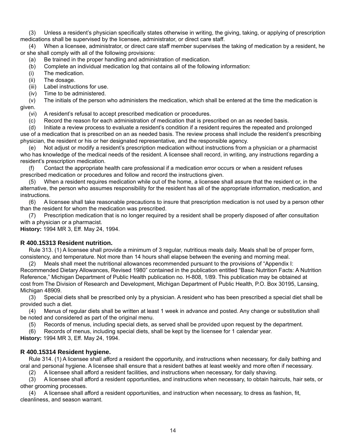(3) Unless a resident's physician specifically states otherwise in writing, the giving, taking, or applying of prescription medications shall be supervised by the licensee, administrator, or direct care staff.

(4) When a licensee, administrator, or direct care staff member supervises the taking of medication by a resident, he or she shall comply with all of the following provisions:

- (a) Be trained in the proper handling and administration of medication.
- (b) Complete an individual medication log that contains all of the following information:
- (i) The medication.
- (ii) The dosage.
- (iii) Label instructions for use.
- (iv) Time to be administered.

(v) The initials of the person who administers the medication, which shall be entered at the time the medication is given.

(vi) A resident's refusal to accept prescribed medication or procedures.

(c) Record the reason for each administration of medication that is prescribed on an as needed basis.

(d) Initiate a review process to evaluate a resident's condition if a resident requires the repeated and prolonged use of a medication that is prescribed on an as needed basis. The review process shall include the resident's prescribing

physician, the resident or his or her designated representative, and the responsible agency. (e) Not adjust or modify a resident's prescription medication without instructions from a physician or a pharmacist

who has knowledge of the medical needs of the resident. A licensee shall record, in writing, any instructions regarding a resident's prescription medication.

(f) Contact the appropriate health care professional if a medication error occurs or when a resident refuses prescribed medication or procedures and follow and record the instructions given.

(5) When a resident requires medication while out of the home, a licensee shall assure that the resident or, in the alternative, the person who assumes responsibility for the resident has all of the appropriate information, medication, and instructions.

(6) A licensee shall take reasonable precautions to insure that prescription medication is not used by a person other than the resident for whom the medication was prescribed.

(7) Prescription medication that is no longer required by a resident shall be properly disposed of after consultation with a physician or a pharmacist.

**History:** 1994 MR 3, Eff. May 24, 1994.

#### **R 400.15313 Resident nutrition.**

Rule 313. (1) A licensee shall provide a minimum of 3 regular, nutritious meals daily. Meals shall be of proper form, consistency, and temperature. Not more than 14 hours shall elapse between the evening and morning meal.

(2) Meals shall meet the nutritional allowances recommended pursuant to the provisions of "Appendix I: Recommended Dietary Allowances, Revised 1980" contained in the publication entitled "Basic Nutrition Facts: A Nutrition Reference," Michigan Department of Public Health publication no. H-808, 1/89. This publication may be obtained at cost from The Division of Research and Development, Michigan Department of Public Health, P.O. Box 30195, Lansing,

Michigan 48909. (3) Special diets shall be prescribed only by a physician. A resident who has been prescribed a special diet shall be provided such a diet.

(4) Menus of regular diets shall be written at least 1 week in advance and posted. Any change or substitution shall be noted and considered as part of the original menu.

(5) Records of menus, including special diets, as served shall be provided upon request by the department.

(6) Records of menus, including special diets, shall be kept by the licensee for 1 calendar year.

**History:** 1994 MR 3, Eff. May 24, 1994.

#### **R 400.15314 Resident hygiene.**

Rule 314. (1) A licensee shall afford a resident the opportunity, and instructions when necessary, for daily bathing and oral and personal hygiene. A licensee shall ensure that a resident bathes at least weekly and more often if necessary.

(2) A licensee shall afford a resident facilities, and instructions when necessary, for daily shaving.

(3) A licensee shall afford a resident opportunities, and instructions when necessary, to obtain haircuts, hair sets, or other grooming processes.

(4) A licensee shall afford a resident opportunities, and instruction when necessary, to dress as fashion, fit, cleanliness, and season warrant.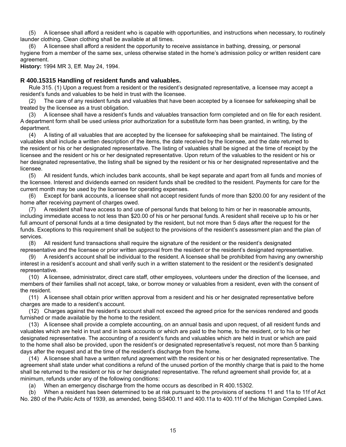(5) A licensee shall afford a resident who is capable with opportunities, and instructions when necessary, to routinely launder clothing. Clean clothing shall be available at all times.

(6) A licensee shall afford a resident the opportunity to receive assistance in bathing, dressing, or personal hygiene from a member of the same sex, unless otherwise stated in the home's admission policy or written resident care agreement.

**History:** 1994 MR 3, Eff. May 24, 1994.

#### **R 400.15315 Handling of resident funds and valuables.**

Rule 315. (1) Upon a request from a resident or the resident's designated representative, a licensee may accept a resident's funds and valuables to be held in trust with the licensee.

(2) The care of any resident funds and valuables that have been accepted by a licensee for safekeeping shall be treated by the licensee as a trust obligation.

(3) A licensee shall have a resident's funds and valuables transaction form completed and on file for each resident. A department form shall be used unless prior authorization for a substitute form has been granted, in writing, by the department.

(4) A listing of all valuables that are accepted by the licensee for safekeeping shall be maintained. The listing of valuables shall include a written description of the items, the date received by the licensee, and the date returned to the resident or his or her designated representative. The listing of valuables shall be signed at the time of receipt by the licensee and the resident or his or her designated representative. Upon return of the valuables to the resident or his or her designated representative, the listing shall be signed by the resident or his or her designated representative and the licensee.

(5) All resident funds, which includes bank accounts, shall be kept separate and apart from all funds and monies of the licensee. Interest and dividends earned on resident funds shall be credited to the resident. Payments for care for the current month may be used by the licensee for operating expenses.

(6) Except for bank accounts, a licensee shall not accept resident funds of more than \$200.00 for any resident of the home after receiving payment of charges owed.

(7) A resident shall have access to and use of personal funds that belong to him or her in reasonable amounts, including immediate access to not less than \$20.00 of his or her personal funds. A resident shall receive up to his or her full amount of personal funds at a time designated by the resident, but not more than 5 days after the request for the funds. Exceptions to this requirement shall be subject to the provisions of the resident's assessment plan and the plan of services.

(8) All resident fund transactions shall require the signature of the resident or the resident's designated representative and the licensee or prior written approval from the resident or the resident's designated representative.

(9) A resident's account shall be individual to the resident. A licensee shall be prohibited from having any ownership interest in a resident's account and shall verify such in a written statement to the resident or the resident's designated representative.

(10) A licensee, administrator, direct care staff, other employees, volunteers under the direction of the licensee, and members of their families shall not accept, take, or borrow money or valuables from a resident, even with the consent of the resident.

(11) A licensee shall obtain prior written approval from a resident and his or her designated representative before charges are made to a resident's account.

(12) Charges against the resident's account shall not exceed the agreed price for the services rendered and goods furnished or made available by the home to the resident.

(13) A licensee shall provide a complete accounting, on an annual basis and upon request, of all resident funds and valuables which are held in trust and in bank accounts or which are paid to the home, to the resident, or to his or her designated representative. The accounting of a resident's funds and valuables which are held in trust or which are paid to the home shall also be provided, upon the resident's or designated representative's request, not more than 5 banking days after the request and at the time of the resident's discharge from the home.

(14) A licensee shall have a written refund agreement with the resident or his or her designated representative. The agreement shall state under what conditions a refund of the unused portion of the monthly charge that is paid to the home shall be returned to the resident or his or her designated representative. The refund agreement shall provide for, at a minimum, refunds under any of the following conditions:

(a) When an emergency discharge from the home occurs as described in R 400.15302.

(b) When a resident has been determined to be at risk pursuant to the provisions of sections 11 and 11a to 11f of Act No. 280 of the Public Acts of 1939, as amended, being SS400.11 and 400.11a to 400.11f of the Michigan Compiled Laws.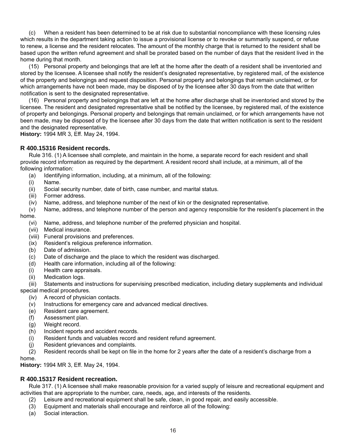(c) When a resident has been determined to be at risk due to substantial noncompliance with these licensing rules which results in the department taking action to issue a provisional license or to revoke or summarily suspend, or refuse to renew, a license and the resident relocates. The amount of the monthly charge that is returned to the resident shall be based upon the written refund agreement and shall be prorated based on the number of days that the resident lived in the home during that month.

(15) Personal property and belongings that are left at the home after the death of a resident shall be inventoried and stored by the licensee. A licensee shall notify the resident's designated representative, by registered mail, of the existence of the property and belongings and request disposition. Personal property and belongings that remain unclaimed, or for which arrangements have not been made, may be disposed of by the licensee after 30 days from the date that written notification is sent to the designated representative.

(16) Personal property and belongings that are left at the home after discharge shall be inventoried and stored by the licensee. The resident and designated representative shall be notified by the licensee, by registered mail, of the existence of property and belongings. Personal property and belongings that remain unclaimed, or for which arrangements have not been made, may be disposed of by the licensee after 30 days from the date that written notification is sent to the resident and the designated representative.

**History:** 1994 MR 3, Eff. May 24, 1994.

#### **R 400.15316 Resident records.**

Rule 316. (1) A licensee shall complete, and maintain in the home, a separate record for each resident and shall provide record information as required by the department. A resident record shall include, at a minimum, all of the following information:

- (a) Identifying information, including, at a minimum, all of the following:
- (i) Name.
- (ii) Social security number, date of birth, case number, and marital status.
- (iii) Former address.
- (iv) Name, address, and telephone number of the next of kin or the designated representative.
- (v) Name, address, and telephone number of the person and agency responsible for the resident's placement in the home.
	- (vi) Name, address, and telephone number of the preferred physician and hospital.
	- Medical insurance.
	- (viii) Funeral provisions and preferences.
	- (ix) Resident's religious preference information.
	- (b) Date of admission.
	- (c) Date of discharge and the place to which the resident was discharged.
	- (d) Health care information, including all of the following:
	- (i) Health care appraisals.
	- (ii) Medication logs.

(iii) Statements and instructions for supervising prescribed medication, including dietary supplements and individual special medical procedures.

- (iv) A record of physician contacts.
- (v) Instructions for emergency care and advanced medical directives.
- (e) Resident care agreement.
- (f) Assessment plan.
- (g) Weight record.
- (h) Incident reports and accident records.
- (i) Resident funds and valuables record and resident refund agreement.
- (j) Resident grievances and complaints.
- (2) Resident records shall be kept on file in the home for 2 years after the date of a resident's discharge from a

home.

**History:** 1994 MR 3, Eff. May 24, 1994.

#### **R 400.15317 Resident recreation.**

Rule 317. (1) A licensee shall make reasonable provision for a varied supply of leisure and recreational equipment and activities that are appropriate to the number, care, needs, age, and interests of the residents.

- (2) Leisure and recreational equipment shall be safe, clean, in good repair, and easily accessible.
- (3) Equipment and materials shall encourage and reinforce all of the following:
- (a) Social interaction.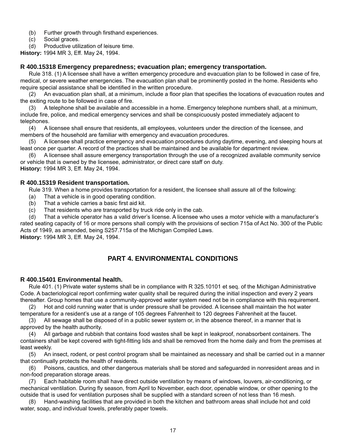- (b) Further growth through firsthand experiences.
- (c) Social graces.
- (d) Productive utilization of leisure time.

**History:** 1994 MR 3, Eff. May 24, 1994.

#### **R 400.15318 Emergency preparedness; evacuation plan; emergency transportation.**

Rule 318. (1) A licensee shall have a written emergency procedure and evacuation plan to be followed in case of fire, medical, or severe weather emergencies. The evacuation plan shall be prominently posted in the home. Residents who require special assistance shall be identified in the written procedure.

(2) An evacuation plan shall, at a minimum, include a floor plan that specifies the locations of evacuation routes and the exiting route to be followed in case of fire.

(3) A telephone shall be available and accessible in a home. Emergency telephone numbers shall, at a minimum, include fire, police, and medical emergency services and shall be conspicuously posted immediately adjacent to telephones.

(4) A licensee shall ensure that residents, all employees, volunteers under the direction of the licensee, and members of the household are familiar with emergency and evacuation procedures.

(5) A licensee shall practice emergency and evacuation procedures during daytime, evening, and sleeping hours at least once per quarter. A record of the practices shall be maintained and be available for department review.

(6) A licensee shall assure emergency transportation through the use of a recognized available community service or vehicle that is owned by the licensee, administrator, or direct care staff on duty. **History:** 1994 MR 3, Eff. May 24, 1994.

#### **R 400.15319 Resident transportation.**

Rule 319. When a home provides transportation for a resident, the licensee shall assure all of the following:

- (a) That a vehicle is in good operating condition.
- $(b)$  That a vehicle carries a basic first aid kit.
- (c) That residents who are transported by truck ride only in the cab.

(d) That a vehicle operator has a valid driver's license. A licensee who uses a motor vehicle with a manufacturer's rated seating capacity of 16 or more persons shall comply with the provisions of section 715a of Act No. 300 of the Public Acts of 1949, as amended, being S257.715a of the Michigan Compiled Laws.

**History:** 1994 MR 3, Eff. May 24, 1994.

## **PART 4. ENVIRONMENTAL CONDITIONS**

#### **R 400.15401 Environmental health.**

Rule 401. (1) Private water systems shall be in compliance with R 325.10101 et seq. of the Michigan Administrative Code. A bacteriological report confirming water quality shall be required during the initial inspection and every 2 years thereafter. Group homes that use a community-approved water system need not be in compliance with this requirement.

(2) Hot and cold running water that is under pressure shall be provided. A licensee shall maintain the hot water temperature for a resident's use at a range of 105 degrees Fahrenheit to 120 degrees Fahrenheit at the faucet.

(3) All sewage shall be disposed of in a public sewer system or, in the absence thereof, in a manner that is approved by the health authority.

(4) All garbage and rubbish that contains food wastes shall be kept in leakproof, nonabsorbent containers. The containers shall be kept covered with tight-fitting lids and shall be removed from the home daily and from the premises at least weekly.

(5) An insect, rodent, or pest control program shall be maintained as necessary and shall be carried out in a manner that continually protects the health of residents.

(6) Poisons, caustics, and other dangerous materials shall be stored and safeguarded in nonresident areas and in non-food preparation storage areas.

(7) Each habitable room shall have direct outside ventilation by means of windows, louvers, air-conditioning, or mechanical ventilation. During fly season, from April to November, each door, openable window, or other opening to the outside that is used for ventilation purposes shall be supplied with a standard screen of not less than 16 mesh.

Hand-washing facilities that are provided in both the kitchen and bathroom areas shall include hot and cold water, soap, and individual towels, preferably paper towels.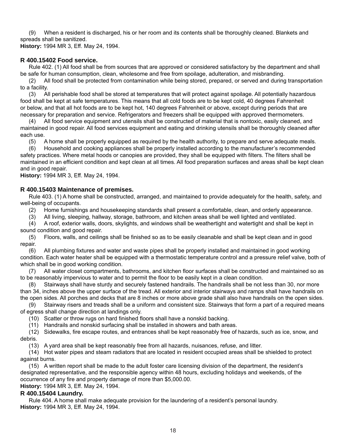(9) When a resident is discharged, his or her room and its contents shall be thoroughly cleaned. Blankets and spreads shall be sanitized.

**History:** 1994 MR 3, Eff. May 24, 1994.

#### **R 400.15402 Food service.**

Rule 402. (1) All food shall be from sources that are approved or considered satisfactory by the department and shall be safe for human consumption, clean, wholesome and free from spoilage, adulteration, and misbranding.

(2) All food shall be protected from contamination while being stored, prepared, or served and during transportation to a facility.

(3) All perishable food shall be stored at temperatures that will protect against spoilage. All potentially hazardous food shall be kept at safe temperatures. This means that all cold foods are to be kept cold, 40 degrees Fahrenheit or below, and that all hot foods are to be kept hot, 140 degrees Fahrenheit or above, except during periods that are necessary for preparation and service. Refrigerators and freezers shall be equipped with approved thermometers.

(4) All food service equipment and utensils shall be constructed of material that is nontoxic, easily cleaned, and maintained in good repair. All food services equipment and eating and drinking utensils shall be thoroughly cleaned after each use.

(5) A home shall be properly equipped as required by the health authority, to prepare and serve adequate meals.

(6) Household and cooking appliances shall be properly installed according to the manufacturer's recommended safety practices. Where metal hoods or canopies are provided, they shall be equipped with filters. The filters shall be maintained in an efficient condition and kept clean at all times. All food preparation surfaces and areas shall be kept clean and in good repair.

**History:** 1994 MR 3, Eff. May 24, 1994.

#### **R 400.15403 Maintenance of premises.**

Rule 403. (1) A home shall be constructed, arranged, and maintained to provide adequately for the health, safety, and well-being of occupants.

(2) Home furnishings and housekeeping standards shall present a comfortable, clean, and orderly appearance.

(3) All living, sleeping, hallway, storage, bathroom, and kitchen areas shall be well lighted and ventilated.

(4) A roof, exterior walls, doors, skylights, and windows shall be weathertight and watertight and shall be kept in sound condition and good repair.

(5) Floors, walls, and ceilings shall be finished so as to be easily cleanable and shall be kept clean and in good repair.

(6) All plumbing fixtures and water and waste pipes shall be properly installed and maintained in good working condition. Each water heater shall be equipped with a thermostatic temperature control and a pressure relief valve, both of which shall be in good working condition.

(7) All water closet compartments, bathrooms, and kitchen floor surfaces shall be constructed and maintained so as to be reasonably impervious to water and to permit the floor to be easily kept in a clean condition.

(8) Stairways shall have sturdy and securely fastened handrails. The handrails shall be not less than 30, nor more than 34, inches above the upper surface of the tread. All exterior and interior stairways and ramps shall have handrails on the open sides. All porches and decks that are 8 inches or more above grade shall also have handrails on the open sides.

(9) Stairway risers and treads shall be a uniform and consistent size. Stairways that form a part of a required means of egress shall change direction at landings only.

(10) Scatter or throw rugs on hard finished floors shall have a nonskid backing.

(11) Handrails and nonskid surfacing shall be installed in showers and bath areas.

(12) Sidewalks, fire escape routes, and entrances shall be kept reasonably free of hazards, such as ice, snow, and debris.

(13) A yard area shall be kept reasonably free from all hazards, nuisances, refuse, and litter.

(14) Hot water pipes and steam radiators that are located in resident occupied areas shall be shielded to protect against burns.

(15) A written report shall be made to the adult foster care licensing division of the department, the resident's designated representative, and the responsible agency within 48 hours, excluding holidays and weekends, of the occurrence of any fire and property damage of more than \$5,000.00.

**History:** 1994 MR 3, Eff. May 24, 1994.

#### **R 400.15404 Laundry.**

Rule 404. A home shall make adequate provision for the laundering of a resident's personal laundry. **History:** 1994 MR 3, Eff. May 24, 1994.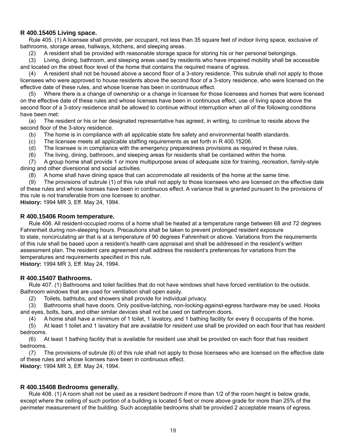#### **R 400.15405 Living space.**

Rule 405. (1) A licensee shall provide, per occupant, not less than 35 square feet of indoor living space, exclusive of bathrooms, storage areas, hallways, kitchens, and sleeping areas.

(2) A resident shall be provided with reasonable storage space for storing his or her personal belongings.

(3) Living, dining, bathroom, and sleeping areas used by residents who have impaired mobility shall be accessible and located on the street floor level of the home that contains the required means of egress.

 $(4)$  A resident shall not be housed above a second floor of a 3-story residence. This subrule shall not apply to those licensees who were approved to house residents above the second floor of a 3-story residence, who were licensed on the effective date of these rules, and whose license has been in continuous effect.

(5) Where there is a change of ownership or a change in licensee for those licensees and homes that were licensed on the effective date of these rules and whose licenses have been in continuous effect, use of living space above the second floor of a 3-story residence shall be allowed to continue without interruption when all of the following conditions have been met:

(a) The resident or his or her designated representative has agreed, in writing, to continue to reside above the second floor of the 3-story residence.

- (b) The home is in compliance with all applicable state fire safety and environmental health standards.
- $(c)$  The licensee meets all applicable staffing requirements as set forth in R 400.15206.
- (d) The licensee is in compliance with the emergency preparedness provisions as required in these rules.

(6) The living, dining, bathroom, and sleeping areas for residents shall be contained within the home.

(7) A group home shall provide 1 or more multipurpose areas of adequate size for training, recreation, family-style dining and other diversional and social activities.

(8) A home shall have dining space that can accommodate all residents of the home at the same time.

(9) The provisions of subrule (1) of this rule shall not apply to those licensees who are licensed on the effective date of these rules and whose licenses have been in continuous effect. A variance that is granted pursuant to the provisions of this rule is not transferable from one licensee to another.

**History:** 1994 MR 3, Eff. May 24, 1994.

#### **R 400.15406 Room temperature.**

Rule 406. All resident-occupied rooms of a home shall be heated at a temperature range between 68 and 72 degrees Fahrenheit during non-sleeping hours. Precautions shall be taken to prevent prolonged resident exposure to stale, noncirculating air that is at a temperature of 90 degrees Fahrenheit or above. Variations from the requirements of this rule shall be based upon a resident's health care appraisal and shall be addressed in the resident's written assessment plan. The resident care agreement shall address the resident's preferences for variations from the temperatures and requirements specified in this rule.

**History:** 1994 MR 3, Eff. May 24, 1994.

#### **R 400.15407 Bathrooms.**

Rule 407. (1) Bathrooms and toilet facilities that do not have windows shall have forced ventilation to the outside. Bathroom windows that are used for ventilation shall open easily.

(2) Toilets, bathtubs, and showers shall provide for individual privacy.

(3) Bathrooms shall have doors. Only positive-latching, non-locking-against-egress hardware may be used. Hooks and eyes, bolts, bars, and other similar devices shall not be used on bathroom doors.

(4) A home shall have a minimum of 1 toilet, 1 lavatory, and 1 bathing facility for every 8 occupants of the home.

(5) At least 1 toilet and 1 lavatory that are available for resident use shall be provided on each floor that has resident bedrooms.

(6) At least 1 bathing facility that is available for resident use shall be provided on each floor that has resident bedrooms.

(7) The provisions of subrule (6) of this rule shall not apply to those licensees who are licensed on the effective date of these rules and whose licenses have been in continuous effect.

**History:** 1994 MR 3, Eff. May 24, 1994.

#### **R 400.15408 Bedrooms generally.**

Rule 408. (1) A room shall not be used as a resident bedroom if more than 1/2 of the room height is below grade, except where the ceiling of such portion of a building is located 5 feet or more above grade for more than 25% of the perimeter measurement of the building. Such acceptable bedrooms shall be provided 2 acceptable means of egress.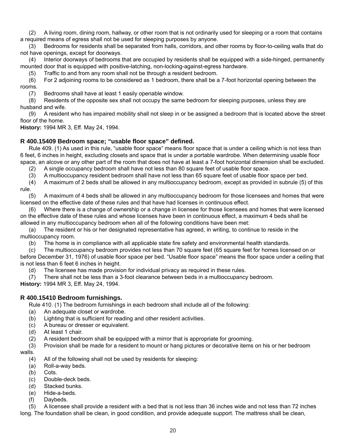(2) A living room, dining room, hallway, or other room that is not ordinarily used for sleeping or a room that contains a required means of egress shall not be used for sleeping purposes by anyone.

(3) Bedrooms for residents shall be separated from halls, corridors, and other rooms by floor-to-ceiling walls that do not have openings, except for doorways.

(4) Interior doorways of bedrooms that are occupied by residents shall be equipped with a side-hinged, permanently mounted door that is equipped with positive-latching, non-locking-against-egress hardware.

(5) Traffic to and from any room shall not be through a resident bedroom.

(6) For 2 adjoining rooms to be considered as 1 bedroom, there shall be a 7-foot horizontal opening between the rooms.

(7) Bedrooms shall have at least 1 easily openable window.

(8) Residents of the opposite sex shall not occupy the same bedroom for sleeping purposes, unless they are husband and wife.

(9) A resident who has impaired mobility shall not sleep in or be assigned a bedroom that is located above the street floor of the home.

**History:** 1994 MR 3, Eff. May 24, 1994.

#### **R 400.15409 Bedroom space; "usable fl oor space" defi ned.**

Rule 409. (1) As used in this rule, "usable floor space" means floor space that is under a ceiling which is not less than 6 feet, 6 inches in height, excluding closets and space that is under a portable wardrobe. When determining usable floor space, an alcove or any other part of the room that does not have at least a 7-foot horizontal dimension shall be excluded.

(2) A single occupancy bedroom shall have not less than 80 square feet of usable floor space.

(3) A multioccupancy resident bedroom shall have not less than 65 square feet of usable floor space per bed.

(4) A maximum of 2 beds shall be allowed in any multioccupancy bedroom, except as provided in subrule (5) of this rule.

(5) A maximum of 4 beds shall be allowed in any multioccupancy bedroom for those licensees and homes that were licensed on the effective date of these rules and that have had licenses in continuous effect.

(6) Where there is a change of ownership or a change in licensee for those licensees and homes that were licensed on the effective date of these rules and whose licenses have been in continuous effect, a maximum 4 beds shall be allowed in any multioccupancy bedroom when all of the following conditions have been met:

(a) The resident or his or her designated representative has agreed, in writing, to continue to reside in the multioccupancy room.

(b) The home is in compliance with all applicable state fire safety and environmental health standards.

(c) The multioccupancy bedroom provides not less than 70 square feet (65 square feet for homes licensed on or before December 31, 1976) of usable floor space per bed. "Usable floor space" means the floor space under a ceiling that is not less than 6 feet 6 inches in height.

(d) The licensee has made provision for individual privacy as required in these rules.

(7) There shall not be less than a 3-foot clearance between beds in a multioccupancy bedroom.

**History:** 1994 MR 3, Eff. May 24, 1994.

#### **R 400.15410 Bedroom furnishings.**

Rule 410. (1) The bedroom furnishings in each bedroom shall include all of the following:

- (a) An adequate closet or wardrobe.
- (b) Lighting that is sufficient for reading and other resident activities.
- (c) A bureau or dresser or equivalent.
- (d) At least 1 chair.
- (2) A resident bedroom shall be equipped with a mirror that is appropriate for grooming.
- (3) Provision shall be made for a resident to mount or hang pictures or decorative items on his or her bedroom

walls.

- (4) All of the following shall not be used by residents for sleeping:
- (a) Roll-a-way beds.
- (b) Cots.
- (c) Double-deck beds.
- (d) Stacked bunks.
- (e) Hide-a-beds.
- (f) Daybeds.

(5) A licensee shall provide a resident with a bed that is not less than 36 inches wide and not less than 72 inches

long. The foundation shall be clean, in good condition, and provide adequate support. The mattress shall be clean,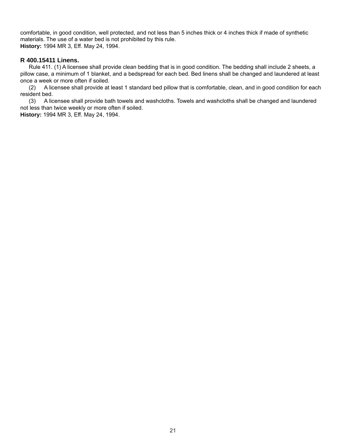comfortable, in good condition, well protected, and not less than 5 inches thick or 4 inches thick if made of synthetic materials. The use of a water bed is not prohibited by this rule. **History:** 1994 MR 3, Eff. May 24, 1994.

#### **R 400.15411 Linens.**

Rule 411. (1) A licensee shall provide clean bedding that is in good condition. The bedding shall include 2 sheets, a pillow case, a minimum of 1 blanket, and a bedspread for each bed. Bed linens shall be changed and laundered at least once a week or more often if soiled.<br>(2) A licensee shall provide at

A licensee shall provide at least 1 standard bed pillow that is comfortable, clean, and in good condition for each resident bed.

(3) A licensee shall provide bath towels and washcloths. Towels and washcloths shall be changed and laundered not less than twice weekly or more often if soiled.

**History:** 1994 MR 3, Eff. May 24, 1994.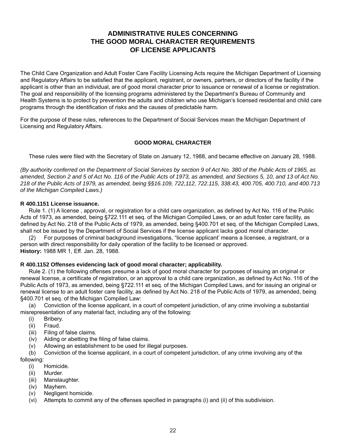## **ADMINISTRATIVE RULES CONCERNING THE GOOD MORAL CHARACTER REQUIREMENTS OF LICENSE APPLICANTS**

The Child Care Organization and Adult Foster Care Facility Licensing Acts require the Michigan Department of Licensing and Regulatory Affairs to be satisfied that the applicant, registrant, or owners, partners, or directors of the facility if the applicant is other than an individual, are of good moral character prior to issuance or renewal of a license or registration. The goal and responsibility of the licensing programs administered by the Department's Bureau of Community and Health Systems is to protect by prevention the adults and children who use Michigan's licensed residential and child care programs through the identification of risks and the causes of predictable harm.

For the purpose of these rules, references to the Department of Social Services mean the Michigan Department of Licensing and Regulatory Affairs.

#### **GOOD MORAL CHARACTER**

These rules were filed with the Secretary of State on January 12, 1988, and became effective on January 28, 1988.

*(By authority conferred on the Department of Social Services by section 9 of Act No. 380 of the Public Acts of 1965, as amended, Section 2 and 5 of Act No. 116 of the Public Acts of 1973, as amended, and Sections 5, 10, and 13 of Act No. 218 of the Public Acts of 1979, as amended, being §§16.109, 722,112, 722.115, 338.43, 400.705, 400.710, and 400.713 of the Michigan Compiled Laws.)*

#### **R 400.1151 License issuance.**

Rule 1. (1) A license, approval, or registration for a child care organization, as defined by Act No. 116 of the Public Acts of 1973, as amended, being §722.111 et seq. of the Michigan Compiled Laws, or an adult foster care facility, as defined by Act No. 218 of the Public Acts of 1979, as amended, being §400.701 et seq. of the Michigan Compiled Laws, shall not be issued by the Department of Social Services if the license applicant lacks good moral character.

(2) For purposes of criminal background investigations, "license applicant' means a licensee, a registrant, or a person with direct responsibility for daily operation of the facility to be licensed or approved. **History:** 1988 MR 1, Eff. Jan. 28, 1988.

#### **R 400.1152 Offenses evidencing lack of good moral character; applicability.**

Rule 2. (1) the following offenses presume a lack of good moral character for purposes of issuing an original or renewal license, a certificate of registration, or an approval to a child care organization, as defined by Act No. 116 of the Public Acts of 1973, as amended, being §722.111 et seq. of the Michigan Compiled Laws, and for issuing an original or renewal license to an adult foster care facility, as defined by Act No. 218 of the Public Acts of 1979, as amended, being §400.701 et seq. of the Michigan Compiled Law:

(a) Conviction of the license applicant, in a court of competent jurisdiction, of any crime involving a substantial misrepresentation of any material fact, including any of the following:

- (i) Bribery.
- (ii) Fraud.
- (iii) Filing of false claims.
- $(iv)$  Aiding or abetting the filing of false claims.
- (v) Allowing an establishment to be used for illegal purposes.

(b) Conviction of the license applicant, in a court of competent jurisdiction, of any crime involving any of the following:

- (i) Homicide.
- (ii) Murder.
- (iii) Manslaughter.
- (iv) Mayhem.
- (v) Negligent homicide.

(vi) Attempts to commit any of the offenses specified in paragraphs (i) and (ii) of this subdivision.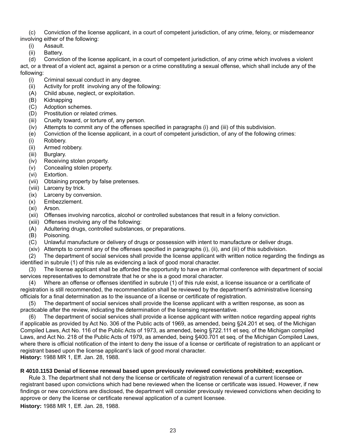(c) Conviction of the license applicant, in a court of competent jurisdiction, of any crime, felony, or misdemeanor involving either of the following:

- (i) Assault.
- (ii) Battery.

(d) Conviction of the license applicant, in a court of competent jurisdiction, of any crime which involves a violent act, or a threat of a violent act, against a person or a crime constituting a sexual offense, which shall include any of the following:

- (i) Criminal sexual conduct in any degree.
- $(ii)$  Activity for profit involving any of the following:
- (A) Child abuse, neglect, or exploitation.<br>(B) Kidnapping
- Kidnapping
- (C) Adoption schemes.
- (D) Prostitution or related crimes.
- (iii) Cruelty toward, or torture of, any person.
- $(iv)$  Attempts to commit any of the offenses specified in paragraphs  $(i)$  and  $(iii)$  of this subdivision.
- (e) Conviction of the license applicant, in a court of competent jurisdiction, of any of the following crimes:
- (i) Robbery.
- (ii) Armed robbery.
- (iii) Burglary.
- (iv) Receiving stolen property.
- (v) Concealing stolen property.
- (vi) Extortion.
- (vii) Obtaining property by false pretenses.
- (viii) Larceny by trick.
- (ix) Larceny by conversion.
- (x) Embezzlement.
- (xi) Arson.
- (xii) Offenses involving narcotics, alcohol or controlled substances that result in a felony conviction.
- (xiii) Offenses involving any of the following:
- (A) Adultering drugs, controlled substances, or preparations.
- (B) Poisoning.
- (C) Unlawful manufacture or delivery of drugs or possession with intent to manufacture or deliver drugs.
- (xiv) Attempts to commit any of the offenses specified in paragraphs (i), (ii), and (iii) of this subdivision.

(2) The department of social services shall provide the license applicant with written notice regarding the findings as identified in subrule (1) of this rule as evidencing a lack of good moral character.

(3) The license applicant shall be afforded the opportunity to have an informal conference with department of social services representatives to demonstrate that he or she is a good moral character.

(4) Where an offense or offenses identified in subrule (1) of this rule exist, a license issuance or a certificate of registration is still recommended, the recommendation shall be reviewed by the department's administrative licensing officials for a final determination as to the issuance of a license or certificate of registration.

(5) The department of social services shall provide the license applicant with a written response, as soon as practicable after the review, indicating the determination of the licensing representative.

(6) The department of social services shall provide a license applicant with written notice regarding appeal rights if applicable as provided by Act No. 306 of the Public acts of 1969, as amended, being §24.201 et seq. of the Michigan Compiled Laws, Act No. 116 of the Public Acts of 1973, as amended, being §722.111 et seq. of the Michigan compiled Laws, and Act No. 218 of the Public Acts of 1979, as amended, being §400.701 et seq. of the Michigan Compiled Laws, where there is official notification of the intent to deny the issue of a license or certificate of registration to an applicant or registrant based upon the license applicant's lack of good moral character. **History:** 1988 MR 1, Eff. Jan. 28, 1988.

#### **R 4010.1153 Denial of license renewal based upon previously reviewed convictions prohibited; exception.**

Rule 3. The department shall not deny the license or certificate of registration renewal of a current licensee or registrant based upon convictions which had bene reviewed when the license or certificate was issued. However, if new findings or new convictions are disclosed, the department will consider previously reviewed convictions when deciding to approve or deny the license or certificate renewal application of a current licensee.

**History:** 1988 MR 1, Eff. Jan. 28, 1988.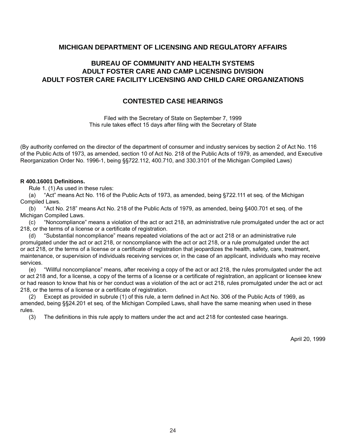#### **MICHIGAN DEPARTMENT OF LICENSING AND REGULATORY AFFAIRS**

## **BUREAU OF COMMUNITY AND HEALTH SYSTEMS ADULT FOSTER CARE AND CAMP LICENSING DIVISION ADULT FOSTER CARE FACILITY LICENSING AND CHILD CARE ORGANIZATIONS**

### **CONTESTED CASE HEARINGS**

Filed with the Secretary of State on September 7, 1999 This rule takes effect 15 days after filing with the Secretary of State

(By authority conferred on the director of the department of consumer and industry services by section 2 of Act No. 116 of the Public Acts of 1973, as amended, section 10 of Act No. 218 of the Public Acts of 1979, as amended, and Executive Reorganization Order No. 1996-1, being §§722.112, 400.710, and 330.3101 of the Michigan Compiled Laws)

#### **R 400.16001 Defi nitions.**

Rule 1. (1) As used in these rules:

(a) "Act" means Act No. 116 of the Public Acts of 1973, as amended, being §722.111 et seq. of the Michigan Compiled Laws.

(b) "Act No. 218" means Act No. 218 of the Public Acts of 1979, as amended, being §400.701 et seq. of the Michigan Compiled Laws.

(c) "Noncompliance" means a violation of the act or act 218, an administrative rule promulgated under the act or act 218, or the terms of a license or a certificate of registration.

(d) "Substantial noncompliance" means repeated violations of the act or act 218 or an administrative rule promulgated under the act or act 218, or noncompliance with the act or act 218, or a rule promulgated under the act or act 218, or the terms of a license or a certificate of registration that jeopardizes the health, safety, care, treatment, maintenance, or supervision of individuals receiving services or, in the case of an applicant, individuals who may receive services.

(e) "Willful noncompliance" means, after receiving a copy of the act or act 218, the rules promulgated under the act or act 218 and, for a license, a copy of the terms of a license or a certificate of registration, an applicant or licensee knew or had reason to know that his or her conduct was a violation of the act or act 218, rules promulgated under the act or act 218, or the terms of a license or a certificate of registration.

(2) Except as provided in subrule (1) of this rule, a term defined in Act No. 306 of the Public Acts of 1969, as amended, being §§24.201 et seq. of the Michigan Compiled Laws, shall have the same meaning when used in these rules.

(3) The definitions in this rule apply to matters under the act and act 218 for contested case hearings.

April 20, 1999